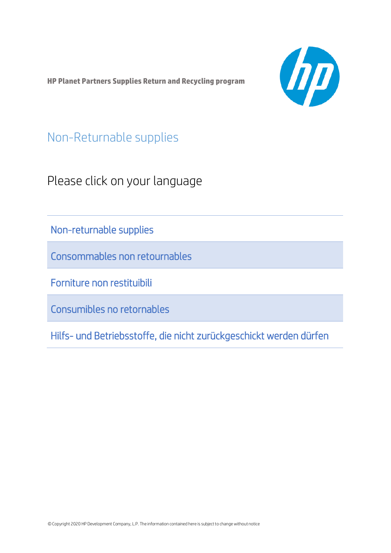<span id="page-0-0"></span>**HP Planet Partners Supplies Return and Recycling program**



Non-Returnable supplies

Please click on your language

[Non-returnable supplies](#page-1-0)

[Consommables non retournables](#page-5-0)

[Forniture non restituibili](#page-10-0)

[Consumibles no retornables](#page-14-0)

[Hilfs- und Betriebsstoffe, die nicht zurückgeschickt werden dürfen](#page-18-0)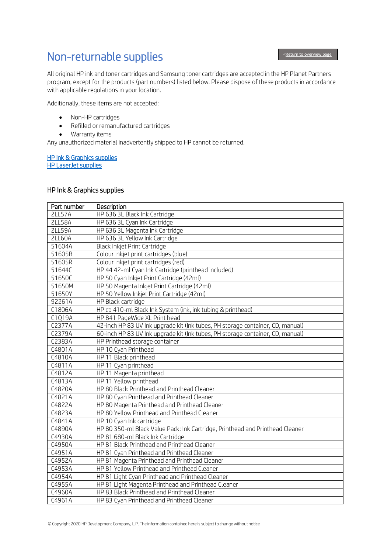## <span id="page-1-0"></span>Non-returnable supplies

j

All original HP ink and toner cartridges and Samsung toner cartridges are accepted in the HP Planet Partners program, except for the products (part numbers) listed below. Please dispose of these products in accordance with applicable regulations in your location.

Additionally, these items are not accepted:

- Non-HP cartridges
- Refilled or remanufactured cartridges
- Warranty items

Any unauthorized material inadvertently shipped to HP cannot be returned.

#### [HP Ink & Graphics supplies](#page-1-1)  [HP LaserJet supplies](#page-4-0)

#### <span id="page-1-1"></span>HP Ink & Graphics supplies

| Part number         | Description                                                                    |
|---------------------|--------------------------------------------------------------------------------|
| <b>2LL57A</b>       | HP 636 3L Black Ink Cartridge                                                  |
| <b>2LL58A</b>       | HP 636 3L Cyan Ink Cartridge                                                   |
| <b>2LL59A</b>       | HP 636 3L Magenta Ink Cartridge                                                |
| <b>2LL60A</b>       | HP 636 3L Yellow Ink Cartridge                                                 |
| 51604A              | Black Inkjet Print Cartridge                                                   |
| 51605B              | Colour inkjet print cartridges (blue)                                          |
| 51605R              | Colour inkjet print cartridges (red)                                           |
| 51644C              | HP 44 42-ml Cyan Ink Cartridge (printhead included)                            |
| 51650C              | HP 50 Cyan Inkjet Print Cartridge (42ml)                                       |
| 51650M              | HP 50 Magenta Inkjet Print Cartridge (42ml)                                    |
| 51650Y              | HP 50 Yellow Inkjet Print Cartridge (42ml)                                     |
| 92261A              | HP Black cartridge                                                             |
| C1806A              | HP cp 410-ml Black Ink System (ink, ink tubing & printhead)                    |
| C1Q19A              | HP 841 PageWide XL Print head                                                  |
| C <sub>2377</sub> A | 42-inch HP 83 UV Ink upgrade kit (Ink tubes, PH storage container, CD, manual) |
| C2379A              | 60-inch HP 83 UV Ink upgrade kit (Ink tubes, PH storage container, CD, manual) |
| C2383A              | HP Printhead storage container                                                 |
| C4801A              | HP 10 Cyan Printhead                                                           |
| C4810A              | HP 11 Black printhead                                                          |
| C4811A              | HP 11 Cyan printhead                                                           |
| C4812A              | HP 11 Magenta printhead                                                        |
| C4813A              | HP 11 Yellow printhead                                                         |
| C4820A              | HP 80 Black Printhead and Printhead Cleaner                                    |
| C4821A              | HP 80 Cyan Printhead and Printhead Cleaner                                     |
| C4822A              | HP 80 Magenta Printhead and Printhead Cleaner                                  |
| C4823A              | HP 80 Yellow Printhead and Printhead Cleaner                                   |
| C4841A              | HP 10 Cyan Ink cartridge                                                       |
| C4890A              | HP 80 350-ml Black Value Pack: Ink Cartridge, Printhead and Printhead Cleaner  |
| C4930A              | HP 81 680-ml Black Ink Cartridge                                               |
| C4950A              | HP 81 Black Printhead and Printhead Cleaner                                    |
| C4951A              | HP 81 Cyan Printhead and Printhead Cleaner                                     |
| C4952A              | HP 81 Magenta Printhead and Printhead Cleaner                                  |
| C4953A              | HP 81 Yellow Printhead and Printhead Cleaner                                   |
| C4954A              | HP 81 Light Cyan Printhead and Printhead Cleaner                               |
| C4955A              | HP 81 Light Magenta Printhead and Printhead Cleaner                            |
| C4960A              | HP 83 Black Printhead and Printhead Cleaner                                    |
| C4961A              | HP 83 Cyan Printhead and Printhead Cleaner                                     |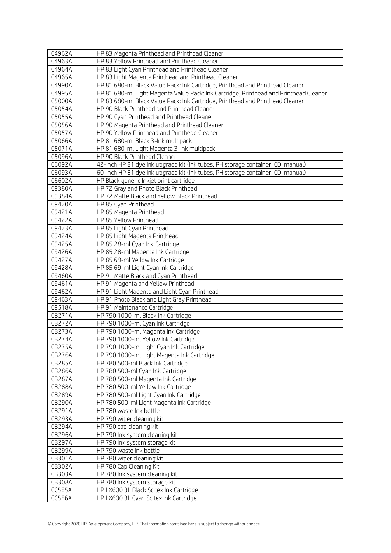| C4962A           | HP 83 Magenta Printhead and Printhead Cleaner                                              |
|------------------|--------------------------------------------------------------------------------------------|
| C4963A           | HP 83 Yellow Printhead and Printhead Cleaner                                               |
| C4964A           | HP 83 Light Cyan Printhead and Printhead Cleaner                                           |
| C4965A           | HP 83 Light Magenta Printhead and Printhead Cleaner                                        |
| C4990A           | HP 81 680-ml Black Value Pack: Ink Cartridge, Printhead and Printhead Cleaner              |
| C4995A           | HP 81 680-ml Light Magenta Value Pack: Ink Cartridge, Printhead and Printhead Cleaner      |
| C5000A           | HP 83 680-ml Black Value Pack: Ink Cartridge, Printhead and Printhead Cleaner              |
| C5054A           | HP 90 Black Printhead and Printhead Cleaner                                                |
| C5055A           | HP 90 Cyan Printhead and Printhead Cleaner                                                 |
| C5056A           | HP 90 Magenta Printhead and Printhead Cleaner                                              |
| C5057A           | HP 90 Yellow Printhead and Printhead Cleaner                                               |
| C5066A           | HP 81 680-ml Black 3-Ink multipack                                                         |
| C5071A           | HP 81 680-ml Light Magenta 3-lnk multipack                                                 |
| C5096A           | HP 90 Black Printhead Cleaner                                                              |
| C6092A           | 42-inch HP 81 dye Ink upgrade kit (Ink tubes, PH storage container, CD, manual)            |
| C6093A           | 60-inch HP 81 dye Ink upgrade kit (Ink tubes, PH storage container, CD, manual)            |
| C6602A           | HP Black generic Inkjet print cartridge                                                    |
| C9380A           | HP 72 Gray and Photo Black Printhead                                                       |
| C9384A           | HP 72 Matte Black and Yellow Black Printhead                                               |
| C9420A           | HP 85 Cyan Printhead                                                                       |
| C9421A           | HP 85 Magenta Printhead                                                                    |
| C9422A           | HP 85 Yellow Printhead                                                                     |
| C9423A           | HP 85 Light Cyan Printhead                                                                 |
| C9424A           | HP 85 Light Magenta Printhead                                                              |
| C9425A           | HP 85 28-ml Cyan Ink Cartridge                                                             |
| C9426A           | HP 85 28-ml Magenta Ink Cartridge                                                          |
| C9427A           | HP 85 69-ml Yellow Ink Cartridge                                                           |
| C9428A           | HP 85 69-ml Light Cyan Ink Cartridge                                                       |
| C9460A           | HP 91 Matte Black and Cyan Printhead                                                       |
| C9461A           | HP 91 Magenta and Yellow Printhead                                                         |
| C9462A<br>C9463A | HP 91 Light Magenta and Light Cyan Printhead<br>HP 91 Photo Black and Light Gray Printhead |
| C9518A           | HP 91 Maintenance Cartridge                                                                |
| <b>CB271A</b>    | HP 790 1000-ml Black Ink Cartridge                                                         |
| <b>CB272A</b>    | HP 790 1000-ml Cyan Ink Cartridge                                                          |
| <b>CB273A</b>    | HP 790 1000-ml Magenta Ink Cartridge                                                       |
| <b>CB274A</b>    | HP 790 1000-ml Yellow Ink Cartridge                                                        |
| <b>CB275A</b>    | HP 790 1000-ml Light Cyan Ink Cartridge                                                    |
| <b>CB276A</b>    | HP 790 1000-ml Light Magenta Ink Cartridge                                                 |
| <b>CB285A</b>    | HP 780 500-ml Black Ink Cartridge                                                          |
| <b>CB286A</b>    | HP 780 500-ml Cyan Ink Cartridge                                                           |
| <b>CB287A</b>    | HP 780 500-ml Magenta Ink Cartridge                                                        |
| <b>CB288A</b>    | HP 780 500-ml Yellow Ink Cartridge                                                         |
| <b>CB289A</b>    | HP 780 500-ml Light Cyan Ink Cartridge                                                     |
| <b>CB290A</b>    | HP 780 500-ml Light Magenta Ink Cartridge                                                  |
| CB291A           | HP 780 waste Ink bottle                                                                    |
| CB293A           | HP 790 wiper cleaning kit                                                                  |
| <b>CB294A</b>    | HP 790 cap cleaning kit                                                                    |
| <b>CB296A</b>    | HP 790 Ink system cleaning kit                                                             |
| <b>CB297A</b>    | HP 790 Ink system storage kit                                                              |
| <b>CB299A</b>    | HP 790 waste Ink bottle                                                                    |
| CB301A           | HP 780 wiper cleaning kit                                                                  |
| CB302A           | HP 780 Cap Cleaning Kit                                                                    |
| CB303A           | HP 780 Ink system cleaning kit                                                             |
| CB308A           | HP 780 Ink system storage kit                                                              |
| <b>CC585A</b>    | HP LX600 3L Black Scitex Ink Cartridge                                                     |
| <b>CC586A</b>    | HP LX600 3L Cyan Scitex Ink Cartridge                                                      |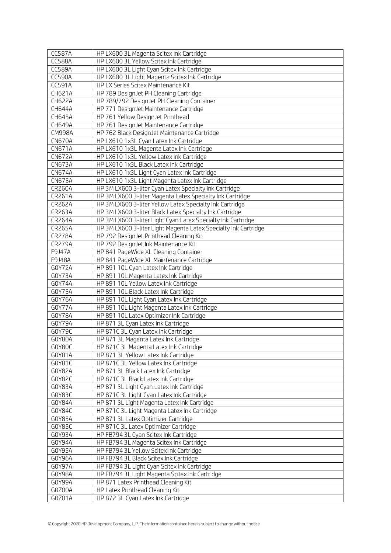| <b>CC587A</b>    | HP LX600 3L Magenta Scitex Ink Cartridge                                        |
|------------------|---------------------------------------------------------------------------------|
| <b>CC588A</b>    | HP LX600 3L Yellow Scitex Ink Cartridge                                         |
| <b>CC589A</b>    | HP LX600 3L Light Cyan Scitex Ink Cartridge                                     |
| <b>CC590A</b>    | HP LX600 3L Light Magenta Scitex Ink Cartridge                                  |
| <b>CC591A</b>    | HP LX Series Scitex Maintenance Kit                                             |
| CH621A           | HP 789 DesignJet PH Cleaning Cartridge                                          |
| <b>CH622A</b>    | HP 789/792 DesignJet PH Cleaning Container                                      |
| CH644A           | HP 771 DesignJet Maintenance Cartridge                                          |
| CH645A           | HP 761 Yellow DesignJet Printhead                                               |
| CH649A           | HP 761 DesignJet Maintenance Cartridge                                          |
| <b>CM998A</b>    | HP 762 Black DesignJet Maintenance Cartridge                                    |
| <b>CN670A</b>    | HP LX610 1x3L Cyan Latex Ink Cartridge                                          |
| <b>CN671A</b>    | HP LX610 1x3L Magenta Latex Ink Cartridge                                       |
| <b>CN672A</b>    | HP LX610 1x3L Yellow Latex Ink Cartridge                                        |
| <b>CN673A</b>    | HP LX610 1x3L Black Latex Ink Cartridge                                         |
| <b>CN674A</b>    | HP LX610 1x3L Light Cyan Latex Ink Cartridge                                    |
| <b>CN675A</b>    | HP LX610 1x3L Light Magenta Latex Ink Cartridge                                 |
| <b>CR260A</b>    | HP 3M LX600 3-liter Cyan Latex Specialty Ink Cartridge                          |
| <b>CR261A</b>    | HP 3M LX600 3-liter Magenta Latex Specialty Ink Cartridge                       |
| CR262A           | HP 3M LX600 3-liter Yellow Latex Specialty Ink Cartridge                        |
| <b>CR263A</b>    | HP 3M LX600 3-liter Black Latex Specialty Ink Cartridge                         |
| <b>CR264A</b>    | HP 3M LX600 3-liter Light Cyan Latex Specialty Ink Cartridge                    |
| <b>CR265A</b>    | HP 3M LX600 3-liter Light Magenta Latex Specialty Ink Cartridge                 |
| <b>CR278A</b>    | HP 792 DesignJet Printhead Cleaning Kit                                         |
| <b>CR279A</b>    | HP 792 DesignJet Ink Maintenance Kit                                            |
| F9J47A           | HP 841 PageWide XL Cleaning Container                                           |
| F9J48A           | HP 841 PageWide XL Maintenance Cartridge                                        |
| GOY72A           | HP 891 10L Cyan Latex Ink Cartridge                                             |
| GOY73A           | HP 891 10L Magenta Latex Ink Cartridge<br>HP 891 10L Yellow Latex Ink Cartridge |
| G0Y74A<br>GOY75A | HP 891 10L Black Latex Ink Cartridge                                            |
| GOY76A           | HP 891 10L Light Cyan Latex Ink Cartridge                                       |
| GOY77A           | HP 891 10L Light Magenta Latex Ink Cartridge                                    |
| G0Y78A           | HP 891 10L Latex Optimizer Ink Cartridge                                        |
| GOY79A           | HP 871 3L Cyan Latex Ink Cartridge                                              |
| GOY79C           | HP 871C 3L Cyan Latex Ink Cartridge                                             |
| G0Y80A           | HP 871 3L Magenta Latex Ink Cartridge                                           |
| GOY8OC           | HP 871C 3L Magenta Latex Ink Cartridge                                          |
| G0Y81A           | HP 871 3L Yellow Latex Ink Cartridge                                            |
| G0Y81C           | HP 871C 3L Yellow Latex Ink Cartridge                                           |
| G0Y82A           | HP 871 3L Black Latex Ink Cartridge                                             |
| GOY82C           | HP 871C 3L Black Latex Ink Cartridge                                            |
| G0Y83A           | HP 871 3L Light Cyan Latex Ink Cartridge                                        |
| G0Y83C           | HP 871C 3L Light Cyan Latex Ink Cartridge                                       |
| G0Y84A           | HP 871 3L Light Magenta Latex Ink Cartridge                                     |
| GOY84C           | HP 871C 3L Light Magenta Latex Ink Cartridge                                    |
| G0Y85A           | HP 871 3L Latex Optimizer Cartridge                                             |
| G0Y85C           | HP 871C 3L Latex Optimizer Cartridge                                            |
| GOY93A           | HP FB794 3L Cyan Scitex Ink Cartridge                                           |
| GOY94A           | HP FB794 3L Magenta Scitex Ink Cartridge                                        |
| GOY95A           | HP FB794 3L Yellow Scitex Ink Cartridge                                         |
| GOY96A           | HP FB794 3L Black Scitex Ink Cartridge                                          |
| GOY97A           | HP FB794 3L Light Cyan Scitex Ink Cartridge                                     |
| GOY98A           | HP FB794 3L Light Magenta Scitex Ink Cartridge                                  |
| GOY99A           | HP 871 Latex Printhead Cleaning Kit                                             |
| GOZOOA           | HP Latex Printhead Cleaning Kit                                                 |
| GOZO1A           | HP 872 3L Cyan Latex Ink Cartridge                                              |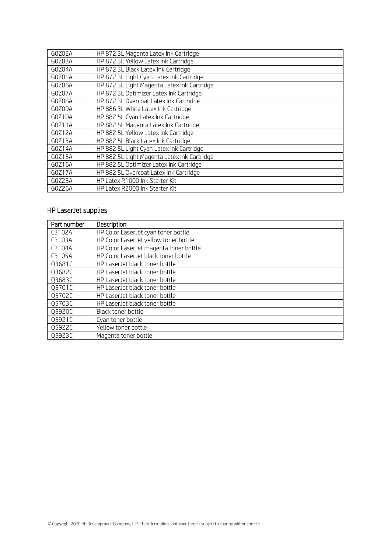| GOZO2A | HP 872 3L Magenta Latex Ink Cartridge       |
|--------|---------------------------------------------|
| G0Z03A | HP 872 3L Yellow Latex Ink Cartridge        |
| G0Z04A | HP 872 3L Black Latex Ink Cartridge         |
| GOZO5A | HP 872 3L Light Cyan Latex Ink Cartridge    |
| GOZO6A | HP 872 3L Light Magenta Latex Ink Cartridge |
| GOZO7A | HP 872 3L Optimizer Latex Ink Cartridge     |
| GOZO8A | HP 872 3L Overcoat Latex Ink Cartridge      |
| GOZO9A | HP 886 3L White Latex Ink Cartridge         |
| GOZ10A | HP 882 5L Cyan Latex Ink Cartridge          |
| G0Z11A | HP 882 5L Magenta Latex Ink Cartridge       |
| GOZ12A | HP 882 5L Yellow Latex Ink Cartridge        |
| GOZ13A | HP 882 5L Black Latex Ink Cartridge         |
| G0Z14A | HP 882 5L Light Cyan Latex Ink Cartridge    |
| G0Z15A | HP 882 5L Light Magenta Latex Ink Cartridge |
| G0Z16A | HP 882 5L Optimizer Latex Ink Cartridge     |
| G0Z17A | HP 882 5L Overcoat Latex Ink Cartridge      |
| G0Z25A | HP Latex R1000 Ink Starter Kit              |
| GOZ26A | HP Latex R2000 Ink Starter Kit              |

## <span id="page-4-0"></span>HP LaserJet supplies

| Part number | Description                            |
|-------------|----------------------------------------|
| C3102A      | HP Color LaserJet cyan toner bottle    |
| C3103A      | HP Color LaserJet yellow toner bottle  |
| C3104A      | HP Color LaserJet magenta toner bottle |
| C3105A      | HP Color LaserJet black toner bottle   |
| Q3681C      | HP LaserJet black toner bottle         |
| Q3682C      | HP LaserJet black toner bottle         |
| Q3683C      | HP LaserJet black toner bottle         |
| Q5701C      | HP LaserJet black toner bottle         |
| Q5702C      | HP LaserJet black toner bottle         |
| Q5703C      | HP LaserJet black toner bottle         |
| Q5920C      | Black toner bottle                     |
| Q5921C      | Cyan toner bottle                      |
| Q5922C      | Yellow toner bottle                    |
| Q5923C      | Magenta toner bottle                   |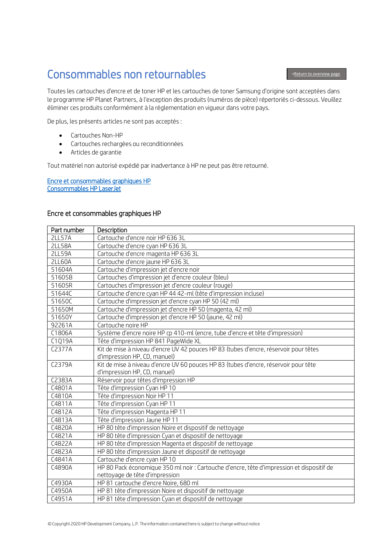# <span id="page-5-0"></span>Consommables non retournables

Toutes les cartouches d'encre et de toner HP et les cartouches de toner Samsung d'origine sont acceptées dans le programme HP Planet Partners, à l'exception des produits (numéros de pièce) répertoriés ci-dessous. Veuillez éliminer ces produits conformément à la réglementation en vigueur dans votre pays.

De plus, les présents articles ne sont pas acceptés :

- Cartouches Non-HP
- Cartouches rechargées ou reconditionnées
- Articles de garantie

Tout matériel non autorisé expédié par inadvertance à HP ne peut pas être retourné.

[Encre et consommables graphiques HP](#page-5-1)  [Consommables HP LaserJet](#page-8-0) 

#### <span id="page-5-1"></span>Encre et consommables graphiques HP

| Part number   | Description                                                                               |
|---------------|-------------------------------------------------------------------------------------------|
| <b>2LL57A</b> | Cartouche d'encre noir HP 636 3L                                                          |
| <b>2LL58A</b> | Cartouche d'encre cyan HP 636 3L                                                          |
| <b>2LL59A</b> | Cartouche d'encre magenta HP 636 3L                                                       |
| <b>2LL60A</b> | Cartouche d'encre jaune HP 636 3L                                                         |
| 51604A        | Cartouche d'impression jet d'encre noir                                                   |
| 51605B        | Cartouches d'impression jet d'encre couleur (bleu)                                        |
| 51605R        | Cartouches d'impression jet d'encre couleur (rouge)                                       |
| 51644C        | Cartouche d'encre cyan HP 44 42-ml (tête d'impression incluse)                            |
| 51650C        | Cartouche d'impression jet d'encre cyan HP 50 (42 ml)                                     |
| 51650M        | Cartouche d'impression jet d'encre HP 50 (magenta, 42 ml)                                 |
| 51650Y        | Cartouche d'impression jet d'encre HP 50 (jaune, 42 ml)                                   |
| 92261A        | Cartouche noire HP                                                                        |
| C1806A        | Système d'encre noire HP cp 410-ml (encre, tube d'encre et tête d'impression)             |
| C1Q19A        | Tête d'impression HP 841 PageWide XL                                                      |
| C2377A        | Kit de mise à niveau d'encre UV 42 pouces HP 83 (tubes d'encre, réservoir pour têtes      |
|               | d'impression HP, CD, manuel)                                                              |
| C2379A        | Kit de mise à niveau d'encre UV 60 pouces HP 83 (tubes d'encre, réservoir pour tête       |
|               | d'impression HP, CD, manuel)                                                              |
| C2383A        | Réservoir pour têtes d'impression HP                                                      |
| C4801A        | Tête d'impression Cyan HP 10                                                              |
| C4810A        | Tête d'impression Noir HP 11                                                              |
| C4811A        | Tête d'impression Cyan HP 11                                                              |
| C4812A        | Tête d'impression Magenta HP 11                                                           |
| C4813A        | Tête d'impression Jaune HP 11                                                             |
| C4820A        | HP 80 tête d'impression Noire et dispositif de nettoyage                                  |
| C4821A        | HP 80 tête d'impression Cyan et dispositif de nettoyage                                   |
| C4822A        | HP 80 tête d'impression Magenta et dispositif de nettoyage                                |
| C4823A        | HP 80 tête d'impression Jaune et dispositif de nettoyage                                  |
| C4841A        | Cartouche d'encre cyan HP 10                                                              |
| C4890A        | HP 80 Pack économique 350 ml noir : Cartouche d'encre, tête d'impression et dispositif de |
|               | nettoyage de tête d'impression                                                            |
| C4930A        | HP 81 cartouche d'encre Noire, 680 ml                                                     |
| C4950A        | HP 81 tête d'impression Noire et dispositif de nettoyage                                  |
| C4951A        | HP 81 tête d'impression Cyan et dispositif de nettoyage                                   |

#### [<Return to overview page](#page-0-0)

I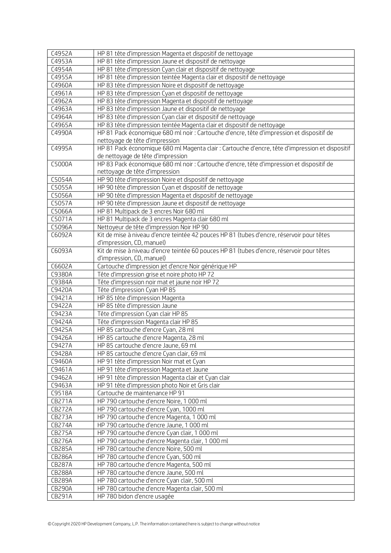| C4952A        | HP 81 tête d'impression Magenta et dispositif de nettoyage                                      |
|---------------|-------------------------------------------------------------------------------------------------|
| C4953A        | HP 81 tête d'impression Jaune et dispositif de nettoyage                                        |
| C4954A        | HP 81 tête d'impression Cyan clair et dispositif de nettoyage                                   |
| C4955A        | HP 81 tête d'impression teintée Magenta clair et dispositif de nettoyage                        |
| C4960A        | HP 83 tête d'impression Noire et dispositif de nettoyage                                        |
| C4961A        | HP 83 tête d'impression Cyan et dispositif de nettoyage                                         |
| C4962A        | HP 83 tête d'impression Magenta et dispositif de nettoyage                                      |
| C4963A        | HP 83 tête d'impression Jaune et dispositif de nettoyage                                        |
| C4964A        | HP 83 tête d'impression Cyan clair et dispositif de nettoyage                                   |
| C4965A        | HP 83 tête d'impression teintée Magenta clair et dispositif de nettoyage                        |
| C4990A        | HP 81 Pack économique 680 ml noir : Cartouche d'encre, tête d'impression et dispositif de       |
|               | nettoyage de tête d'impression                                                                  |
| C4995A        | HP 81 Pack économique 680 ml Magenta clair : Cartouche d'encre, tête d'impression et dispositif |
|               | de nettoyage de tête d'impression                                                               |
| C5000A        | HP 83 Pack économique 680 ml noir : Cartouche d'encre, tête d'impression et dispositif de       |
|               | nettoyage de tête d'impression                                                                  |
| C5054A        | HP 90 tête d'impression Noire et dispositif de nettoyage                                        |
| C5055A        | HP 90 tête d'impression Cyan et dispositif de nettoyage                                         |
| C5056A        | HP 90 tête d'impression Magenta et dispositif de nettoyage                                      |
| C5057A        | HP 90 tête d'impression Jaune et dispositif de nettoyage                                        |
| C5066A        | HP 81 Multipack de 3 encres Noir 680 ml                                                         |
| C5071A        | HP 81 Multipack de 3 encres Magenta clair 680 ml                                                |
| C5096A        | Nettoyeur de tête d'impression Noir HP 90                                                       |
| C6092A        | Kit de mise à niveau d'encre teintée 42 pouces HP 81 (tubes d'encre, réservoir pour têtes       |
|               | d'impression, CD, manuel)                                                                       |
| C6093A        | Kit de mise à niveau d'encre teintée 60 pouces HP 81 (tubes d'encre, réservoir pour têtes       |
|               | d'impression, CD, manuel)                                                                       |
| C6602A        | Cartouche d'impression jet d'encre Noir générique HP                                            |
| C9380A        | Tête d'impression grise et noire photo HP 72                                                    |
| C9384A        | Tête d'impression noir mat et jaune noir HP 72                                                  |
| C9420A        | Tête d'impression Cyan HP 85                                                                    |
| C9421A        | HP 85 tête d'impression Magenta                                                                 |
| C9422A        | HP 85 tête d'impression Jaune                                                                   |
| C9423A        | Tête d'impression Cyan clair HP 85                                                              |
| C9424A        | Tête d'impression Magenta clair HP 85                                                           |
| C9425A        | HP 85 cartouche d'encre Cyan, 28 ml                                                             |
| C9426A        | HP 85 cartouche d'encre Magenta, 28 ml                                                          |
| C9427A        | HP 85 cartouche d'encre Jaune, 69 ml                                                            |
| C9428A        | HP 85 cartouche d'encre Cyan clair, 69 ml                                                       |
| C9460A        | HP 91 tête d'impression Noir mat et Cyan                                                        |
| C9461A        | HP 91 tête d'impression Magenta et Jaune                                                        |
| C9462A        | HP 91 tête d'impression Magenta clair et Cyan clair                                             |
| C9463A        | HP 91 tête d'impression photo Noir et Gris clair                                                |
| C9518A        | Cartouche de maintenance HP 91                                                                  |
| <b>CB271A</b> | HP 790 cartouche d'encre Noire, 1 000 ml                                                        |
| <b>CB272A</b> | HP 790 cartouche d'encre Cyan, 1000 ml                                                          |
| <b>CB273A</b> | HP 790 cartouche d'encre Magenta, 1 000 ml                                                      |
| <b>CB274A</b> | HP 790 cartouche d'encre Jaune, 1 000 ml                                                        |
| <b>CB275A</b> | HP 790 cartouche d'encre Cyan clair, 1 000 ml                                                   |
| <b>CB276A</b> | HP 790 cartouche d'encre Magenta clair, 1 000 ml                                                |
| <b>CB285A</b> | HP 780 cartouche d'encre Noire, 500 ml                                                          |
| <b>CB286A</b> | HP 780 cartouche d'encre Cyan, 500 ml                                                           |
| <b>CB287A</b> | HP 780 cartouche d'encre Magenta, 500 ml                                                        |
| <b>CB288A</b> | HP 780 cartouche d'encre Jaune, 500 ml                                                          |
| <b>CB289A</b> | HP 780 cartouche d'encre Cyan clair, 500 ml                                                     |
| <b>CB290A</b> | HP 780 cartouche d'encre Magenta clair, 500 ml                                                  |
| CB291A        | HP 780 bidon d'encre usagée                                                                     |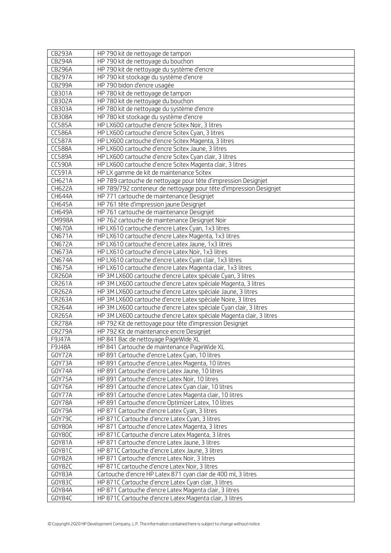| <b>CB293A</b>           | HP 790 kit de nettoyage de tampon                                                                                             |
|-------------------------|-------------------------------------------------------------------------------------------------------------------------------|
| <b>CB294A</b>           | HP 790 kit de nettoyage du bouchon                                                                                            |
| CB296A                  | HP 790 kit de nettoyage du système d'encre                                                                                    |
| <b>CB297A</b>           | HP 790 kit stockage du système d'encre                                                                                        |
| <b>CB299A</b>           | HP 790 bidon d'encre usagée                                                                                                   |
| CB301A                  | HP 780 kit de nettoyage de tampon                                                                                             |
| CB302A                  | HP 780 kit de nettoyage du bouchon                                                                                            |
| CB303A                  | HP 780 kit de nettoyage du système d'encre                                                                                    |
| <b>CB308A</b>           | HP 780 kit stockage du système d'encre                                                                                        |
| <b>CC585A</b>           | HP LX600 cartouche d'encre Scitex Noir, 3 litres                                                                              |
| <b>CC586A</b>           | HP LX600 cartouche d'encre Scitex Cyan, 3 litres                                                                              |
| <b>CC587A</b>           | HP LX600 cartouche d'encre Scitex Magenta, 3 litres                                                                           |
| <b>CC588A</b>           | HP LX600 cartouche d'encre Scitex Jaune, 3 litres                                                                             |
| <b>CC589A</b>           | HP LX600 cartouche d'encre Scitex Cyan clair, 3 litres                                                                        |
| <b>CC590A</b>           | HP LX600 cartouche d'encre Scitex Magenta clair, 3 litres                                                                     |
| CC591A                  | HP LX gamme de kit de maintenance Scitex                                                                                      |
| CH621A                  | HP 789 cartouche de nettoyage pour tête d'impression Designjet                                                                |
| <b>CH622A</b>           | HP 789/792 conteneur de nettoyage pour tête d'impression Designjet                                                            |
| CH644A                  | HP 771 cartouche de maintenance Designjet                                                                                     |
| CH645A                  | HP 761 tête d'impression jaune Designjet                                                                                      |
| CH649A                  | HP 761 cartouche de maintenance Designjet                                                                                     |
| <b>CM998A</b>           | HP 762 cartouche de maintenance Designjet Noir                                                                                |
| <b>CN670A</b>           | HP LX610 cartouche d'encre Latex Cyan, 1x3 litres                                                                             |
| <b>CN671A</b>           | HP LX610 cartouche d'encre Latex Magenta, 1x3 litres                                                                          |
| <b>CN672A</b>           | HP LX610 cartouche d'encre Latex Jaune, 1x3 litres                                                                            |
| <b>CN673A</b>           | HP LX610 cartouche d'encre Latex Noir, 1x3 litres                                                                             |
| <b>CN674A</b>           | HP LX610 cartouche d'encre Latex Cyan clair, 1x3 litres                                                                       |
| <b>CN675A</b>           | HP LX610 cartouche d'encre Latex Magenta clair, 1x3 litres                                                                    |
| <b>CR260A</b><br>CR261A | HP 3M LX600 cartouche d'encre Latex spéciale Cyan, 3 litres<br>HP 3M LX600 cartouche d'encre Latex spéciale Magenta, 3 litres |
| <b>CR262A</b>           | HP 3M LX600 cartouche d'encre Latex spéciale Jaune, 3 litres                                                                  |
| CR263A                  | HP 3M LX600 cartouche d'encre Latex spéciale Noire, 3 litres                                                                  |
| <b>CR264A</b>           | HP 3M LX600 cartouche d'encre Latex spéciale Cyan clair, 3 litres                                                             |
| <b>CR265A</b>           | HP 3M LX600 cartouche d'encre Latex spéciale Magenta clair, 3 litres                                                          |
| <b>CR278A</b>           | HP 792 Kit de nettoyage pour tête d'impression Designiet                                                                      |
| <b>CR279A</b>           | HP 792 Kit de maintenance encre Designjet                                                                                     |
| F9J47A                  | HP 841 Bac de nettoyage PageWide XL                                                                                           |
| F9J48A                  | HP 841 Cartouche de maintenance PageWide XL                                                                                   |
| GOY72A                  | HP 891 Cartouche d'encre Latex Cyan, 10 litres                                                                                |
| GOY73A                  | HP 891 Cartouche d'encre Latex Magenta, 10 litres                                                                             |
| GOY74A                  | HP 891 Cartouche d'encre Latex Jaune, 10 litres                                                                               |
| GOY75A                  | HP 891 Cartouche d'encre Latex Noir, 10 litres                                                                                |
| GOY76A                  | HP 891 Cartouche d'encre Latex Cyan clair, 10 litres                                                                          |
| GOY77A                  | HP 891 Cartouche d'encre Latex Magenta clair, 10 litres                                                                       |
| GOY78A                  | HP 891 Cartouche d'encre Optimizer Latex, 10 litres                                                                           |
| GOY79A                  | HP 871 Cartouche d'encre Latex Cyan, 3 litres                                                                                 |
| GOY79C                  | HP 871C Cartouche d'encre Latex Cyan, 3 litres                                                                                |
| G0Y80A                  | HP 871 Cartouche d'encre Latex Magenta, 3 litres                                                                              |
| GOY8OC                  | HP 871C Cartouche d'encre Latex Magenta, 3 litres                                                                             |
| G0Y81A                  | HP 871 Cartouche d'encre Latex Jaune, 3 litres                                                                                |
| G0Y81C                  | HP 871C Cartouche d'encre Latex Jaune, 3 litres                                                                               |
| GOY82A                  | HP 871 Cartouche d'encre Latex Noir, 3 litres                                                                                 |
| GOY82C                  | HP 871C cartouche d'encre Latex Noir, 3 litres                                                                                |
| GOY83A                  | Cartouche d'encre HP Latex 871 cyan clair de 400 ml, 3 litres                                                                 |
| GOY83C                  | HP 871C Cartouche d'encre Latex Cyan clair, 3 litres                                                                          |
| G0Y84A                  | HP 871 Cartouche d'encre Latex Magenta clair, 3 litres                                                                        |
| GOY84C                  | HP 871C Cartouche d'encre Latex Magenta clair, 3 litres                                                                       |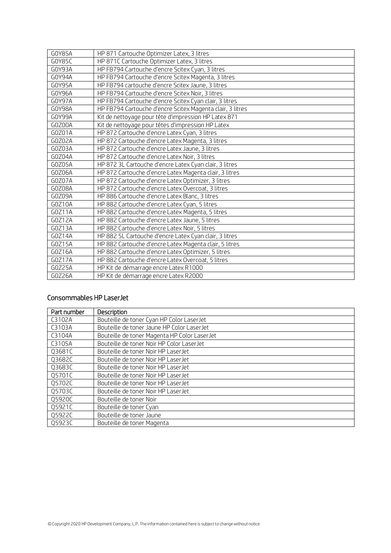| G0Y85A | HP 871 Cartouche Optimizer Latex, 3 litres                |
|--------|-----------------------------------------------------------|
| G0Y85C | HP 871C Cartouche Optimizer Latex, 3 litres               |
| GOY93A | HP FB794 Cartouche d'encre Scitex Cyan, 3 litres          |
| GOY94A | HP FB794 Cartouche d'encre Scitex Magenta, 3 litres       |
| GOY95A | HP FB794 cartouche d'encre Scitex Jaune, 3 litres         |
| G0Y96A | HP FB794 Cartouche d'encre Scitex Noir, 3 litres          |
| G0Y97A | HP FB794 Cartouche d'encre Scitex Cyan clair, 3 litres    |
| G0Y98A | HP FB794 Cartouche d'encre Scitex Magenta clair, 3 litres |
| GOY99A | Kit de nettoyage pour tête d'impression HP Latex 871      |
| GOZOOA | Kit de nettoyage pour têtes d'impression HP Latex         |
| GOZO1A | HP 872 Cartouche d'encre Latex Cyan, 3 litres             |
| GOZO2A | HP 872 Cartouche d'encre Latex Magenta, 3 litres          |
| GOZO3A | HP 872 Cartouche d'encre Latex Jaune, 3 litres            |
| GOZ04A | HP 872 Cartouche d'encre Latex Noir, 3 litres             |
| GOZO5A | HP 872 3L Cartouche d'encre Latex Cyan clair, 3 litres    |
| GOZO6A | HP 872 Cartouche d'encre Latex Magenta clair, 3 litres    |
| GOZO7A | HP 872 Cartouche d'encre Latex Optimizer, 3 litres        |
| GOZO8A | HP 872 Cartouche d'encre Latex Overcoat, 3 litres         |
| GOZO9A | HP 886 Cartouche d'encre Latex Blanc, 3 litres            |
| G0Z10A | HP 882 Cartouche d'encre Latex Cyan, 5 litres             |
| G0Z11A | HP 882 Cartouche d'encre Latex Magenta, 5 litres          |
| GOZ12A | HP 882 Cartouche d'encre Latex Jaune, 5 litres            |
| G0Z13A | HP 882 Cartouche d'encre Latex Noir, 5 litres             |
| G0Z14A | HP 882 5L Cartouche d'encre Latex Cyan clair, 3 litres    |
| G0Z15A | HP 882 Cartouche d'encre Latex Magenta clair, 5 litres    |
| G0Z16A | HP 882 Cartouche d'encre Latex Optimizer, 5 litres        |
| G0Z17A | HP 882 Cartouche d'encre Latex Overcoat, 5 litres         |
| G0Z25A | HP Kit de démarrage encre Latex R1000                     |
| GOZ26A | HP Kit de démarrage encre Latex R2000                     |

### <span id="page-8-0"></span>Consommables HP LaserJet

| Part number | Description                                  |
|-------------|----------------------------------------------|
| C3102A      | Bouteille de toner Cyan HP Color LaserJet    |
| C3103A      | Bouteille de toner Jaune HP Color LaserJet   |
| C3104A      | Bouteille de toner Magenta HP Color LaserJet |
| C3105A      | Bouteille de toner Noir HP Color LaserJet    |
| Q3681C      | Bouteille de toner Noir HP LaserJet          |
| Q3682C      | Bouteille de toner Noir HP LaserJet          |
| Q3683C      | Bouteille de toner Noir HP LaserJet          |
| Q5701C      | Bouteille de toner Noir HP LaserJet          |
| Q5702C      | Bouteille de toner Noir HP LaserJet          |
| Q5703C      | Bouteille de toner Noir HP LaserJet          |
| Q5920C      | Bouteille de toner Noir                      |
| Q5921C      | Bouteille de toner Cyan                      |
| Q5922C      | Bouteille de toner Jaune                     |
| Q5923C      | Bouteille de toner Magenta                   |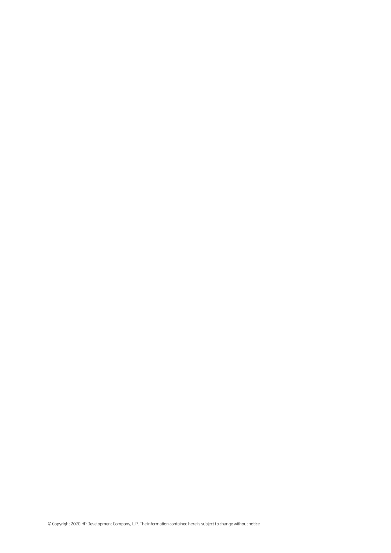©Copyright 2020 HP Development Company, L.P. The information contained here is subjectto changewithout notice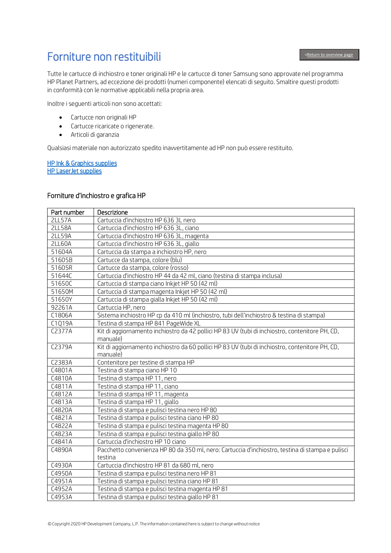Ï

## <span id="page-10-0"></span>Forniture non restituibili

Tutte le cartucce di inchiostro e toner originali HP e le cartucce di toner Samsung sono approvate nel programma HP Planet Partners, ad eccezione dei prodotti (numeri componente) elencati di seguito. Smaltire questi prodotti in conformità con le normative applicabili nella propria area.

Inoltre i seguenti articoli non sono accettati:

- Cartucce non originali HP
- Cartucce ricaricate o rigenerate.
- Articoli di garanzia

Qualsiasi materiale non autorizzato spedito inavvertitamente ad HP non può essere restituito.

[HP Ink & Graphics supplies](#page-10-1)  [HP LaserJet supplies](#page-13-0) 

#### <span id="page-10-1"></span>Forniture d'inchiostro e grafica HP

| Part number   | Descrizione                                                                                                 |
|---------------|-------------------------------------------------------------------------------------------------------------|
| <b>2LL57A</b> | Cartuccia d'inchiostro HP 636 3L nero                                                                       |
| <b>2LL58A</b> | Cartuccia d'inchiostro HP 636 3L, ciano                                                                     |
| <b>2LL59A</b> | Cartuccia d'inchiostro HP 636 3L, magenta                                                                   |
| <b>2LL60A</b> | Cartuccia d'inchiostro HP 636 3L, giallo                                                                    |
| 51604A        | Cartuccia da stampa a inchiostro HP, nero                                                                   |
| 51605B        | Cartucce da stampa, colore (blu)                                                                            |
| 51605R        | Cartucce da stampa, colore (rosso)                                                                          |
| 51644C        | Cartuccia d'inchiostro HP 44 da 42 ml, ciano (testina di stampa inclusa)                                    |
| 51650C        | Cartuccia di stampa ciano Inkjet HP 50 (42 ml)                                                              |
| 51650M        | Cartuccia di stampa magenta Inkjet HP 50 (42 ml)                                                            |
| 51650Y        | Cartuccia di stampa gialla Inkjet HP 50 (42 ml)                                                             |
| 92261A        | Cartuccia HP, nero                                                                                          |
| C1806A        | Sistema inchiostro HP cp da 410 ml (inchiostro, tubi dell'inchiostro & testina di stampa)                   |
| C1Q19A        | Testina di stampa HP 841 PageWide XL                                                                        |
| C2377A        | Kit di aggiornamento inchiostro da 42 pollici HP 83 UV (tubi di inchiostro, contenitore PH, CD,<br>manuale) |
| C2379A        | Kit di aggiornamento inchiostro da 60 pollici HP 83 UV (tubi di inchiostro, contenitore PH, CD,             |
|               | manuale)                                                                                                    |
| C2383A        | Contenitore per testine di stampa HP                                                                        |
| C4801A        | Testina di stampa ciano HP 10                                                                               |
| C4810A        | Testina di stampa HP 11, nero                                                                               |
| C4811A        | Testina di stampa HP 11, ciano                                                                              |
| C4812A        | Testina di stampa HP 11, magenta                                                                            |
| C4813A        | Testina di stampa HP 11, giallo                                                                             |
| C4820A        | Testina di stampa e pulisci testina nero HP 80                                                              |
| C4821A        | Testina di stampa e pulisci testina ciano HP 80                                                             |
| C4822A        | Testina di stampa e pulisci testina magenta HP 80                                                           |
| C4823A        | Testina di stampa e pulisci testina giallo HP 80                                                            |
| C4841A        | Cartuccia d'inchiostro HP 10 ciano                                                                          |
| C4890A        | Pacchetto convenienza HP 80 da 350 ml, nero: Cartuccia d'inchiostro, testina di stampa e pulisci            |
|               | testina                                                                                                     |
| C4930A        | Cartuccia d'inchiostro HP 81 da 680 ml, nero                                                                |
| C4950A        | Testina di stampa e pulisci testina nero HP 81                                                              |
| C4951A        | Testina di stampa e pulisci testina ciano HP 81                                                             |
| C4952A        | Testina di stampa e pulisci testina magenta HP 81                                                           |
| C4953A        | Testina di stampa e pulisci testina giallo HP 81                                                            |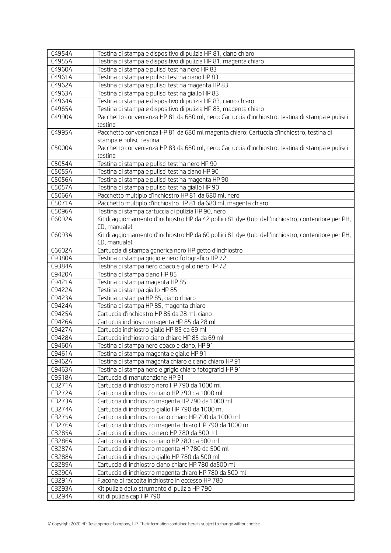| C4954A        | Testina di stampa e dispositivo di pulizia HP 81, ciano chiaro                                       |
|---------------|------------------------------------------------------------------------------------------------------|
| C4955A        | Testina di stampa e dispositivo di pulizia HP 81, magenta chiaro                                     |
| C4960A        | Testina di stampa e pulisci testina nero HP 83                                                       |
| C4961A        | Testina di stampa e pulisci testina ciano HP 83                                                      |
| C4962A        | Testina di stampa e pulisci testina magenta HP 83                                                    |
| C4963A        | Testina di stampa e pulisci testina giallo HP 83                                                     |
| C4964A        | Testina di stampa e dispositivo di pulizia HP 83, ciano chiaro                                       |
| C4965A        | Testina di stampa e dispositivo di pulizia HP 83, magenta chiaro                                     |
| C4990A        | Pacchetto convenienza HP 81 da 680 ml, nero: Cartuccia d'inchiostro, testina di stampa e pulisci     |
|               | testina                                                                                              |
| C4995A        | Pacchetto convenienza HP 81 da 680 ml magenta chiaro: Cartuccia d'inchiostro, testina di             |
|               | stampa e pulisci testina                                                                             |
| C5000A        | Pacchetto convenienza HP 83 da 680 ml, nero: Cartuccia d'inchiostro, testina di stampa e pulisci     |
|               | testina                                                                                              |
| C5054A        | Testina di stampa e pulisci testina nero HP 90                                                       |
| C5055A        | Testina di stampa e pulisci testina ciano HP 90                                                      |
| C5056A        | Testina di stampa e pulisci testina magenta HP 90                                                    |
| C5057A        | Testina di stampa e pulisci testina giallo HP 90                                                     |
| C5066A        | Pacchetto multiplo d'inchiostro HP 81 da 680 ml, nero                                                |
| C5071A        | Pacchetto multiplo d'inchiostro HP 81 da 680 ml, magenta chiaro                                      |
| C5096A        | Testina di stampa cartuccia di pulizia HP 90, nero                                                   |
| C6092A        | Kit di aggiornamento d'inchiostro HP da 42 pollici 81 dye (tubi dell'inchiostro, contenitore per PH, |
|               | CD, manuale)                                                                                         |
| C6093A        | Kit di aggiornamento d'inchiostro HP da 60 pollici 81 dye (tubi dell'inchiostro, contenitore per PH, |
|               | CD, manuale)                                                                                         |
| C6602A        | Cartuccia di stampa generica nero HP getto d'inchiostro                                              |
| C9380A        | Testina di stampa grigio e nero fotografico HP 72                                                    |
| C9384A        | Testina di stampa nero opaco e giallo nero HP 72                                                     |
| C9420A        | Testina di stampa ciano HP 85                                                                        |
| C9421A        | Testina di stampa magenta HP 85                                                                      |
| C9422A        | Testina di stampa giallo HP 85                                                                       |
| C9423A        | Testina di stampa HP 85, ciano chiaro                                                                |
| C9424A        | Testina di stampa HP 85, magenta chiaro                                                              |
| C9425A        | Cartuccia d'inchiostro HP 85 da 28 ml, ciano                                                         |
| C9426A        | Cartuccia inchiostro magenta HP 85 da 28 ml                                                          |
| C9427A        | Cartuccia inchiostro giallo HP 85 da 69 ml                                                           |
| C9428A        | Cartuccia inchiostro ciano chiaro HP 85 da 69 ml                                                     |
| C9460A        | Testina di stampa nero opaco e ciano, HP 91                                                          |
| C9461A        | Testina di stampa magenta e giallo HP 91                                                             |
| C9462A        | Testina di stampa magenta chiaro e ciano chiaro HP 91                                                |
| C9463A        | Testina di stampa nero e grigio chiaro fotografici HP 91                                             |
| C9518A        | Cartuccia di manutenzione HP 91                                                                      |
| <b>CB271A</b> | Cartuccia di inchiostro nero HP 790 da 1000 ml                                                       |
| <b>CB272A</b> | Cartuccia di inchiostro ciano HP 790 da 1000 ml                                                      |
| <b>CB273A</b> | Cartuccia di inchiostro magenta HP 790 da 1000 ml                                                    |
| <b>CB274A</b> | Cartuccia di inchiostro giallo HP 790 da 1000 ml                                                     |
| <b>CB275A</b> | Cartuccia di inchiostro ciano chiaro HP 790 da 1000 ml                                               |
| <b>CB276A</b> | Cartuccia di inchiostro magenta chiaro HP 790 da 1000 ml                                             |
| <b>CB285A</b> | Cartuccia di inchiostro nero HP 780 da 500 ml                                                        |
| <b>CB286A</b> | Cartuccia di inchiostro ciano HP 780 da 500 ml                                                       |
| <b>CB287A</b> | Cartuccia di inchiostro magenta HP 780 da 500 ml                                                     |
| <b>CB288A</b> | Cartuccia di inchiostro giallo HP 780 da 500 ml                                                      |
| <b>CB289A</b> | Cartuccia di inchiostro ciano chiaro HP 780 da500 ml                                                 |
| <b>CB290A</b> | Cartuccia di inchiostro magenta chiaro HP 780 da 500 ml                                              |
| CB291A        | Flacone di raccolta inchiostro in eccesso HP 780                                                     |
| CB293A        | Kit pulizia dello strumento di pulizia HP 790                                                        |
| <b>CB294A</b> | Kit di pulizia cap HP 790                                                                            |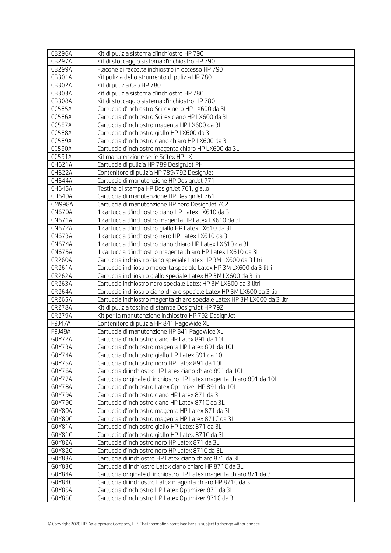| <b>CB296A</b>    | Kit di pulizia sistema d'inchiostro HP 790                                                                                   |
|------------------|------------------------------------------------------------------------------------------------------------------------------|
| <b>CB297A</b>    | Kit di stoccaggio sistema d'inchiostro HP 790                                                                                |
| <b>CB299A</b>    | Flacone di raccolta inchiostro in eccesso HP 790                                                                             |
| CB301A           | Kit pulizia dello strumento di pulizia HP 780                                                                                |
| CB302A           | Kit di pulizia Cap HP 780                                                                                                    |
| CB303A           | Kit di pulizia sistema d'inchiostro HP 780                                                                                   |
| CB308A           | Kit di stoccaggio sistema d'inchiostro HP 780                                                                                |
| <b>CC585A</b>    | Cartuccia d'inchiostro Scitex nero HP LX600 da 3L                                                                            |
| <b>CC586A</b>    | Cartuccia d'inchiostro Scitex ciano HP LX600 da 3L                                                                           |
| <b>CC587A</b>    | Cartuccia d'inchiostro magenta HP LX600 da 3L                                                                                |
| <b>CC588A</b>    | Cartuccia d'inchiostro giallo HP LX600 da 3L                                                                                 |
| CC589A           | Cartuccia d'inchiostro ciano chiaro HP LX600 da 3L                                                                           |
| <b>CC590A</b>    | Cartuccia d'inchiostro magenta chiaro HP LX600 da 3L                                                                         |
| CC591A           | Kit manutenzione serie Scitex HP LX                                                                                          |
| CH621A           | Cartuccia di pulizia HP 789 DesignJet PH                                                                                     |
| <b>CH622A</b>    | Contenitore di pulizia HP 789/792 DesignJet                                                                                  |
| CH644A           | Cartuccia di manutenzione HP DesignJet 771                                                                                   |
| CH645A           | Testina di stampa HP DesignJet 761, giallo                                                                                   |
| CH649A           | Cartuccia di manutenzione HP DesignJet 761                                                                                   |
| <b>CM998A</b>    | Cartuccia di manutenzione HP nero DesignJet 762                                                                              |
| <b>CN670A</b>    | 1 cartuccia d'inchiostro ciano HP Latex LX610 da 3L                                                                          |
| <b>CN671A</b>    | 1 cartuccia d'inchiostro magenta HP Latex LX610 da 3L                                                                        |
| <b>CN672A</b>    | 1 cartuccia d'inchiostro giallo HP Latex LX610 da 3L                                                                         |
| <b>CN673A</b>    | 1 cartuccia d'inchiostro nero HP Latex LX610 da 3L                                                                           |
| <b>CN674A</b>    | 1 cartuccia d'inchiostro ciano chiaro HP Latex LX610 da 3L                                                                   |
| <b>CN675A</b>    | 1 cartuccia d'inchiostro magenta chiaro HP Latex LX610 da 3L                                                                 |
| <b>CR260A</b>    | Cartuccia inchiostro ciano speciale Latex HP 3M LX600 da 3 litri                                                             |
| <b>CR261A</b>    | Cartuccia inchiostro magenta speciale Latex HP 3M LX600 da 3 litri                                                           |
| <b>CR262A</b>    | Cartuccia inchiostro giallo speciale Latex HP 3M LX600 da 3 litri                                                            |
| <b>CR263A</b>    | Cartuccia inchiostro nero speciale Latex HP 3M LX600 da 3 litri                                                              |
| <b>CR264A</b>    | Cartuccia inchiostro ciano chiaro speciale Latex HP 3M LX600 da 3 litri                                                      |
| <b>CR265A</b>    | Cartuccia inchiostro magenta chiaro speciale Latex HP 3M LX600 da 3 litri                                                    |
| <b>CR278A</b>    | Kit di pulizia testine di stampa DesignJet HP 792                                                                            |
| <b>CR279A</b>    | Kit per la manutenzione inchiostro HP 792 DesignJet                                                                          |
| F9J47A           | Contenitore di pulizia HP 841 PageWide XL                                                                                    |
| F9J48A           | Cartuccia di manutenzione HP 841 Page Wide XL                                                                                |
| GOY72A           | Cartuccia d'inchiostro ciano HP Latex 891 da 10L                                                                             |
| GOY73A           | Cartuccia d'inchiostro magenta HP Latex 891 da 10L                                                                           |
| GOY74A           | Cartuccia d'inchiostro giallo HP Latex 891 da 10L                                                                            |
| GOY75A           | Cartuccia d'inchiostro nero HP Latex 891 da 10L                                                                              |
| GOY76A<br>GOY77A | Cartuccia di inchiostro HP Latex ciano chiaro 891 da 10L                                                                     |
| GOY78A           | Cartuccia originale di inchiostro HP Latex magenta chiaro 891 da 10L<br>Cartuccia d'inchiostro Latex Optimizer HP 891 da 10L |
| GOY79A           | Cartuccia d'inchiostro ciano HP Latex 871 da 3L                                                                              |
| GOY79C           | Cartuccia d'inchiostro ciano HP Latex 871C da 3L                                                                             |
| GOY80A           | Cartuccia d'inchiostro magenta HP Latex 871 da 3L                                                                            |
| GOY80C           | Cartuccia d'inchiostro magenta HP Latex 871C da 3L                                                                           |
| G0Y81A           | Cartuccia d'inchiostro giallo HP Latex 871 da 3L                                                                             |
| G0Y81C           | Cartuccia d'inchiostro giallo HP Latex 871C da 3L                                                                            |
| GOY82A           | Cartuccia d'inchiostro nero HP Latex 871 da 3L                                                                               |
| GOY82C           | Cartuccia d'inchiostro nero HP Latex 871C da 3L                                                                              |
| GOY83A           | Cartuccia di inchiostro HP Latex ciano chiaro 871 da 3L                                                                      |
| GOY83C           | Cartuccia di inchiostro Latex ciano chiaro HP 871C da 3L                                                                     |
| GOY84A           | Cartuccia originale di inchiostro HP Latex magenta chiaro 871 da 3L                                                          |
| GOY84C           | Cartuccia di inchiostro Latex magenta chiaro HP 871C da 3L                                                                   |
| G0Y85A           | Cartuccia d'inchiostro HP Latex Optimizer 871 da 3L                                                                          |
| GOY85C           | Cartuccia d'inchiostro HP Latex Optimizer 871C da 3L                                                                         |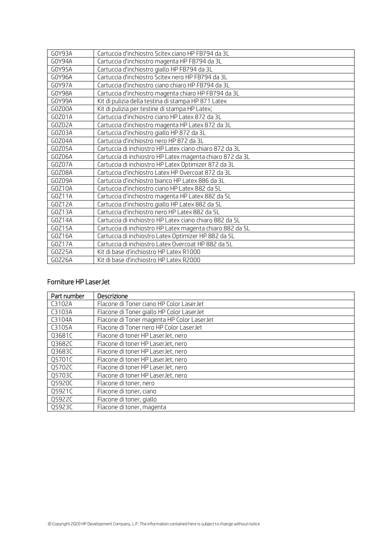| G0Y93A | Cartuccia d'inchiostro Scitex ciano HP FB794 da 3L        |
|--------|-----------------------------------------------------------|
| GOY94A | Cartuccia d'inchiostro magenta HP FB794 da 3L             |
| G0Y95A | Cartuccia d'inchiostro giallo HP FB794 da 3L              |
| G0Y96A | Cartuccia d'inchiostro Scitex nero HP FB794 da 3L         |
| GOY97A | Cartuccia d'inchiostro ciano chiaro HP FB794 da 3L        |
| G0Y98A | Cartuccia d'inchiostro magenta chiaro HP FB794 da 3L      |
| GOY99A | Kit di pulizia della testina di stampa HP 871 Latex       |
| GOZOOA | Kit di pulizia per testine di stampa HP Latex;            |
| GOZO1A | Cartuccia d'inchiostro ciano HP Latex 872 da 3L           |
| GOZO2A | Cartuccia d'inchiostro magenta HP Latex 872 da 3L         |
| GOZO3A | Cartuccia d'inchiostro giallo HP 872 da 3L                |
| GOZ04A | Cartuccia d'inchiostro nero HP 872 da 3L                  |
| GOZO5A | Cartuccia di inchiostro HP Latex ciano chiaro 872 da 3L   |
| GOZO6A | Cartuccia di inchiostro HP Latex magenta chiaro 872 da 3L |
| GOZO7A | Cartuccia di inchiostro HP Latex Optimizer 872 da 3L      |
| GOZO8A | Cartuccia d'inchiostro Latex HP Overcoat 872 da 3L        |
| GOZO9A | Cartuccia d'inchiostro bianco HP Latex 886 da 3L          |
| G0Z10A | Cartuccia d'inchiostro ciano HP Latex 882 da 5L           |
| G0Z11A | Cartuccia d'inchiostro magenta HP Latex 882 da 5L         |
| G0Z12A | Cartuccia d'inchiostro giallo HP Latex 882 da 5L          |
| GOZ13A | Cartuccia d'inchiostro nero HP Latex 882 da 5L            |
| G0Z14A | Cartuccia di inchiostro HP Latex ciano chiaro 882 da 5L   |
| G0Z15A | Cartuccia di inchiostro HP Latex magenta chiaro 882 da 5L |
| GOZ16A | Cartuccia di inchiostro Latex Optimizer HP 882 da 5L      |
| GOZ17A | Cartuccia di inchiostro Latex Overcoat HP 882 da 5L       |
| GOZ25A | Kit di base d'inchiostro HP Latex R1000                   |
| GOZ26A | Kit di base d'inchiostro HP Latex R2000                   |

### <span id="page-13-0"></span>Forniture HP LaserJet

| Part number | <b>Descrizione</b>                         |
|-------------|--------------------------------------------|
| C3102A      | Flacone di Toner ciano HP Color LaserJet   |
| C3103A      | Flacone di Toner giallo HP Color LaserJet  |
| C3104A      | Flacone di Toner magenta HP Color LaserJet |
| C3105A      | Flacone di Toner nero HP Color LaserJet    |
| Q3681C      | Flacone di toner HP Laser Jet, nero        |
| Q3682C      | Flacone di toner HP LaserJet, nero         |
| Q3683C      | Flacone di toner HP LaserJet, nero         |
| Q5701C      | Flacone di toner HP LaserJet, nero         |
| Q5702C      | Flacone di toner HP LaserJet, nero         |
| Q5703C      | Flacone di toner HP LaserJet, nero         |
| Q5920C      | Flacone di toner, nero                     |
| Q5921C      | Flacone di toner, ciano                    |
| Q5922C      | Flacone di toner, giallo                   |
| Q5923C      | Flacone di toner, magenta                  |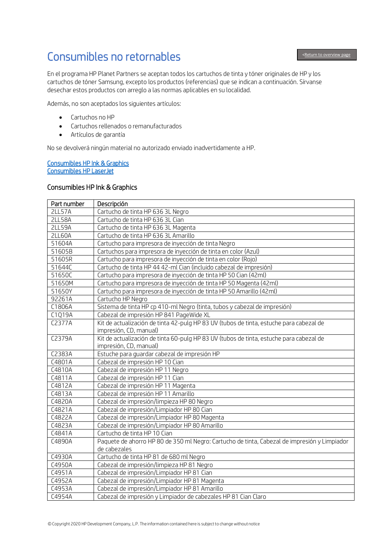# <span id="page-14-0"></span>Consumibles no retornables

En el programa HP Planet Partners se aceptan todos los cartuchos de tinta y tóner originales de HP y los cartuchos de tóner Samsung, excepto los productos (referencias) que se indican a continuación. Sírvanse desechar estos productos con arreglo a las normas aplicables en su localidad.

Además, no son aceptados los siguientes artículos:

- Cartuchos no HP
- Cartuchos rellenados o remanufacturados
- Artículos de garantía

No se devolverá ningún material no autorizado enviado inadvertidamente a HP.

#### [Consumibles HP Ink & Graphics](#page-14-1)  [Consumibles HP LaserJet](#page-17-0)

#### <span id="page-14-1"></span>Consumibles HP Ink & Graphics

| Part number   | Descripción                                                                                  |
|---------------|----------------------------------------------------------------------------------------------|
| <b>2LL57A</b> | Cartucho de tinta HP 636 3L Negro                                                            |
| <b>2LL58A</b> | Cartucho de tinta HP 636 3L Cian                                                             |
| <b>2LL59A</b> | Cartucho de tinta HP 636 3L Magenta                                                          |
| <b>2LL60A</b> | Cartucho de tinta HP 636 3L Amarillo                                                         |
| 51604A        | Cartucho para impresora de inyección de tinta Negro                                          |
| 51605B        | Cartuchos para impresora de inyección de tinta en color (Azul)                               |
| 51605R        | Cartucho para impresora de inyección de tinta en color (Rojo)                                |
| 51644C        | Cartucho de tinta HP 44 42-ml Cian (incluido cabezal de impresión)                           |
| 51650C        | Cartucho para impresora de inyección de tinta HP 50 Cian (42ml)                              |
| 51650M        | Cartucho para impresora de inyección de tinta HP 50 Magenta (42ml)                           |
| 51650Y        | Cartucho para impresora de inyección de tinta HP 50 Amarillo (42ml)                          |
| 92261A        | Cartucho HP Negro                                                                            |
| C1806A        | Sistema de tinta HP cp 410-ml Negro (tinta, tubos y cabezal de impresión)                    |
| C1Q19A        | Cabezal de impresión HP 841 PageWide XL                                                      |
| C2377A        | Kit de actualización de tinta 42-pulg HP 83 UV (tubos de tinta, estuche para cabezal de      |
|               | impresión, CD, manual)                                                                       |
| C2379A        | Kit de actualización de tinta 60-pulg HP 83 UV (tubos de tinta, estuche para cabezal de      |
|               | impresión, CD, manual)                                                                       |
| C2383A        | Estuche para quardar cabezal de impresión HP                                                 |
| C4801A        | Cabezal de impresión HP 10 Cian                                                              |
| C4810A        | Cabezal de impresión HP 11 Negro                                                             |
| C4811A        | Cabezal de impresión HP 11 Cian                                                              |
| C4812A        | Cabezal de impresión HP 11 Magenta                                                           |
| C4813A        | Cabezal de impresión HP 11 Amarillo                                                          |
| C4820A        | Cabezal de impresión/limpieza HP 80 Negro                                                    |
| C4821A        | Cabezal de impresión/Limpiador HP 80 Cian                                                    |
| C4822A        | Cabezal de impresión/Limpiador HP 80 Magenta                                                 |
| C4823A        | Cabezal de impresión/Limpiador HP 80 Amarillo                                                |
| C4841A        | Cartucho de tinta HP 10 Cian                                                                 |
| C4890A        | Paquete de ahorro HP 80 de 350 ml Negro: Cartucho de tinta, Cabezal de impresión y Limpiador |
|               | de cabezales                                                                                 |
| C4930A        | Cartucho de tinta HP 81 de 680 ml Negro                                                      |
| C4950A        | Cabezal de impresión/limpieza HP 81 Negro                                                    |
| C4951A        | Cabezal de impresión/Limpiador HP 81 Cian                                                    |
| C4952A        | Cabezal de impresión/Limpiador HP 81 Magenta                                                 |
| C4953A        | Cabezal de impresión/Limpiador HP 81 Amarillo                                                |
| C4954A        | Cabezal de impresión y Limpiador de cabezales HP 81 Cian Claro                               |

Ï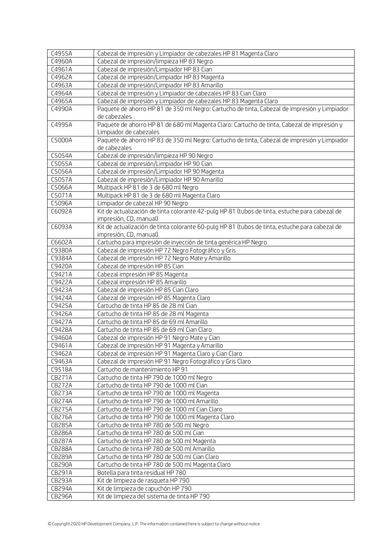| C4955A        | Cabezal de impresión y Limpiador de cabezales HP 81 Magenta Claro                                                        |
|---------------|--------------------------------------------------------------------------------------------------------------------------|
| C4960A        | Cabezal de impresión/limpieza HP 83 Negro                                                                                |
| C4961A        | Cabezal de impresión/Limpiador HP 83 Cian                                                                                |
| C4962A        | Cabezal de impresión/Limpiador HP 83 Magenta                                                                             |
| C4963A        | Cabezal de impresión/Limpiador HP 83 Amarillo                                                                            |
| C4964A        | Cabezal de impresión y Limpiador de cabezales HP 83 Cian Claro                                                           |
| C4965A        | Cabezal de impresión y Limpiador de cabezales HP 83 Magenta Claro                                                        |
| C4990A        | Paquete de ahorro HP 81 de 350 ml Negro: Cartucho de tinta, Cabezal de impresión y Limpiador                             |
|               | de cabezales                                                                                                             |
| C4995A        | Paquete de ahorro HP 81 de 680 ml Magenta Claro: Cartucho de tinta, Cabezal de impresión y                               |
|               | Limpiador de cabezales                                                                                                   |
| C5000A        | Paquete de ahorro HP 83 de 350 ml Negro: Cartucho de tinta, Cabezal de impresión y Limpiador                             |
|               | de cabezales                                                                                                             |
| C5054A        | Cabezal de impresión/limpieza HP 90 Negro                                                                                |
| C5055A        | Cabezal de impresión/Limpiador HP 90 Cian                                                                                |
| C5056A        | Cabezal de impresión/Limpiador HP 90 Magenta                                                                             |
| C5057A        | Cabezal de impresión/Limpiador HP 90 Amarillo                                                                            |
| C5066A        | Multipack HP 81 de 3 de 680 ml Negro                                                                                     |
| C5071A        | Multipack HP 81 de 3 de 680 ml Magenta Claro                                                                             |
| C5096A        | Limpiador de cabezal HP 90 Negro                                                                                         |
| C6092A        | Kit de actualización de tinta colorante 42-pulg HP 81 (tubos de tinta, estuche para cabezal de<br>impresión, CD, manual) |
| C6093A        | Kit de actualización de tinta colorante 60-pulg HP 81 (tubos de tinta, estuche para cabezal de                           |
|               | impresión, CD, manual)                                                                                                   |
| C6602A        | Cartucho para impresión de inyección de tinta genérica HP Negro                                                          |
| C9380A        | Cabezal de impresión HP 72 Negro Fotográfico y Gris                                                                      |
| C9384A        | Cabezal de impresión HP 72 Negro Mate y Amarillo                                                                         |
| C9420A        | Cabezal de impresión HP 85 Cian                                                                                          |
| C9421A        | Cabezal impresión HP 85 Magenta                                                                                          |
| C9422A        | Cabezal impresión HP 85 Amarillo                                                                                         |
| C9423A        | Cabezal de impresión HP 85 Cian Claro                                                                                    |
| C9424A        | Cabezal de impresión HP 85 Magenta Claro                                                                                 |
| C9425A        | Cartucho de tinta HP 85 de 28 ml Cian                                                                                    |
| C9426A        | Cartucho de tinta HP 85 de 28 ml Magenta                                                                                 |
| C9427A        | Cartucho de tinta HP 85 de 69 ml Amarillo                                                                                |
| C9428A        | Cartucho de tinta HP 85 de 69 ml Cian Claro                                                                              |
| C9460A        | Cabezal de impresión HP 91 Negro Mate y Cian                                                                             |
| C9461A        | Cabezal de impresión HP 91 Magenta y Amarillo                                                                            |
| C9462A        | Cabezal de impresión HP 91 Magenta Claro y Cian Claro                                                                    |
| C9463A        | Cabezal de impresión HP 91 Negro Fotográfico y Gris Claro                                                                |
| C9518A        | Cartucho de mantenimiento HP 91                                                                                          |
| <b>CB271A</b> | Cartucho de tinta HP 790 de 1000 ml Negro                                                                                |
| <b>CB272A</b> | Cartucho de tinta HP 790 de 1000 ml Cian                                                                                 |
| <b>CB273A</b> | Cartucho de tinta HP 790 de 1000 ml Magenta                                                                              |
| <b>CB274A</b> | Cartucho de tinta HP 790 de 1000 ml Amarillo                                                                             |
| <b>CB275A</b> | Cartucho de tinta HP 790 de 1000 ml Cian Claro                                                                           |
| <b>CB276A</b> | Cartucho de tinta HP 790 de 1000 ml Magenta Claro                                                                        |
| <b>CB285A</b> | Cartucho de tinta HP 780 de 500 ml Negro                                                                                 |
| <b>CB286A</b> | Cartucho de tinta HP 780 de 500 ml Cian                                                                                  |
| <b>CB287A</b> | Cartucho de tinta HP 780 de 500 ml Magenta                                                                               |
| <b>CB288A</b> | Cartucho de tinta HP 780 de 500 ml Amarillo                                                                              |
| <b>CB289A</b> | Cartucho de tinta HP 780 de 500 ml Cian Claro                                                                            |
| <b>CB290A</b> | Cartucho de tinta HP 780 de 500 ml Magenta Claro                                                                         |
| CB291A        | Botella para tinta residual HP 780                                                                                       |
| CB293A        | Kit de limpieza de rasqueta HP 790                                                                                       |
| CB294A        | Kit de limpieza de capuchón HP 790                                                                                       |
| <b>CB296A</b> | Kit de limpieza del sistema de tinta HP 790                                                                              |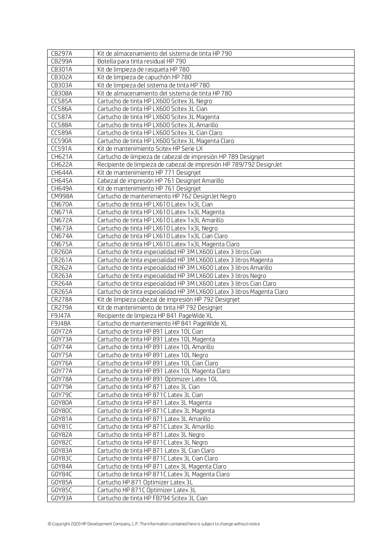| <b>CB297A</b>    | Kit de almacenamiento del sistema de tinta HP 790                                   |
|------------------|-------------------------------------------------------------------------------------|
| <b>CB299A</b>    | Botella para tinta residual HP 790                                                  |
| CB301A           | Kit de limpieza de rasqueta HP 780                                                  |
| CB302A           | Kit de limpieza de capuchón HP 780                                                  |
| CB303A           | Kit de limpieza del sistema de tinta HP 780                                         |
| CB308A           | Kit de almacenamiento del sistema de tinta HP 780                                   |
| <b>CC585A</b>    | Cartucho de tinta HP LX600 Scitex 3L Negro                                          |
| <b>CC586A</b>    | Cartucho de tinta HP LX600 Scitex 3L Cian                                           |
| <b>CC587A</b>    | Cartucho de tinta HP LX600 Scitex 3L Magenta                                        |
| <b>CC588A</b>    | Cartucho de tinta HP LX600 Scitex 3L Amarillo                                       |
| <b>CC589A</b>    | Cartucho de tinta HP LX600 Scitex 3L Cian Claro                                     |
| <b>CC590A</b>    | Cartucho de tinta HP LX600 Scitex 3L Magenta Claro                                  |
| CC591A           | Kit de mantenimiento Scitex HP Serie LX                                             |
| CH621A           | Cartucho de limpieza de cabezal de impresión HP 789 Designjet                       |
| <b>CH622A</b>    | Recipiente de limpieza de cabezal de impresión HP 789/792 DesignJet                 |
| <b>CH644A</b>    | Kit de mantenimiento HP 771 Designjet                                               |
| CH645A           | Cabezal de impresión HP 761 Designjet Amarillo                                      |
| CH649A           | Kit de mantenimiento HP 761 Designiet                                               |
| <b>CM998A</b>    | Cartucho de mantenimiento HP 762 DesignJet Negro                                    |
| <b>CN670A</b>    | Cartucho de tinta HP LX610 Latex 1x3L Cian                                          |
| <b>CN671A</b>    | Cartucho de tinta HP LX610 Latex 1x3L Magenta                                       |
| <b>CN672A</b>    | Cartucho de tinta HP LX610 Latex 1x3L Amarillo                                      |
| <b>CN673A</b>    | Cartucho de tinta HP LX610 Latex 1x3L Negro                                         |
| <b>CN674A</b>    | Cartucho de tinta HP LX610 Latex 1x3L Cian Claro                                    |
| <b>CN675A</b>    | Cartucho de tinta HP LX610 Latex 1x3L Magenta Claro                                 |
| <b>CR260A</b>    | Cartucho de tinta especialidad HP 3M LX600 Latex 3 litros Cian                      |
| CR261A           | Cartucho de tinta especialidad HP 3M LX600 Latex 3 litros Magenta                   |
| <b>CR262A</b>    | Cartucho de tinta especialidad HP 3M LX600 Latex 3 litros Amarillo                  |
| CR263A           | Cartucho de tinta especialidad HP 3M LX600 Latex 3 litros Negro                     |
| <b>CR264A</b>    | Cartucho de tinta especialidad HP 3M LX600 Latex 3 litros Cian Claro                |
| <b>CR265A</b>    | Cartucho de tinta especialidad HP 3M LX600 Latex 3 litros Magenta Claro             |
| <b>CR278A</b>    | Kit de limpieza cabezal de impresión HP 792 Designjet                               |
| <b>CR279A</b>    | Kit de mantenimiento de tinta HP 792 Designjet                                      |
| F9J47A           | Recipiente de limpieza HP 841 PageWide XL                                           |
| F9J48A           | Cartucho de mantenimiento HP 841 PageWide XL                                        |
| GOY72A           | Cartucho de tinta HP 891 Latex 10L Cian                                             |
| GOY73A           | Cartucho de tinta HP 891 Latex 10L Magenta                                          |
| GOY74A           | Cartucho de tinta HP 891 Latex 10L Amarillo                                         |
| GOY75A           | Cartucho de tinta HP 891 Latex 10L Negro                                            |
| GOY76A           | Cartucho de tinta HP 891 Latex 10L Cian Claro                                       |
| GOY77A           | Cartucho de tinta HP 891 Latex 10L Magenta Claro                                    |
| GOY78A           | Cartucho de tinta HP 891 Optimizer Latex 10L                                        |
| GOY79A<br>GOY79C | Cartucho de tinta HP 871 Latex 3L Cian<br>Cartucho de tinta HP 871C Latex 3L Cian   |
| GOY80A           | Cartucho de tinta HP 871 Latex 3L Magenta                                           |
| GOY8OC           | Cartucho de tinta HP 871C Latex 3L Magenta                                          |
| G0Y81A           | Cartucho de tinta HP 871 Latex 3L Amarillo                                          |
| G0Y81C           | Cartucho de tinta HP 871C Latex 3L Amarillo                                         |
|                  |                                                                                     |
| GOY82A<br>GOY82C | Cartucho de tinta HP 871 Latex 3L Negro<br>Cartucho de tinta HP 871C Latex 3L Negro |
| GOY83A           | Cartucho de tinta HP 871 Latex 3L Cian Claro                                        |
| GOY83C           | Cartucho de tinta HP 871C Latex 3L Cian Claro                                       |
| GOY84A           | Cartucho de tinta HP 871 Latex 3L Magenta Claro                                     |
| GOY84C           | Cartucho de tinta HP 871C Latex 3L Magenta Claro                                    |
| G0Y85A           | Cartucho HP 871 Optimizer Latex 3L                                                  |
| GOY85C           | Cartucho HP 871C Optimizer Latex 3L                                                 |
| GOY93A           | Cartucho de tinta HP FB794 Scitex 3L Cian                                           |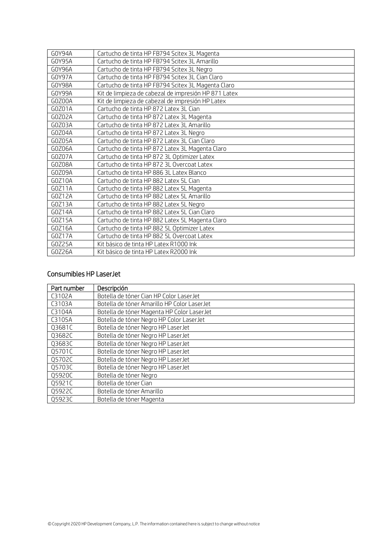| G0Y94A | Cartucho de tinta HP FB794 Scitex 3L Magenta         |
|--------|------------------------------------------------------|
| GOY95A | Cartucho de tinta HP FB794 Scitex 3L Amarillo        |
| GOY96A | Cartucho de tinta HP FB794 Scitex 3L Negro           |
| GOY97A | Cartucho de tinta HP FB794 Scitex 3L Cian Claro      |
| G0Y98A | Cartucho de tinta HP FB794 Scitex 3L Magenta Claro   |
| GOY99A | Kit de limpieza de cabezal de impresión HP 871 Latex |
| GOZOOA | Kit de limpieza de cabezal de impresión HP Latex     |
| GOZO1A | Cartucho de tinta HP 872 Latex 3L Cian               |
| GOZO2A | Cartucho de tinta HP 872 Latex 3L Magenta            |
| GOZO3A | Cartucho de tinta HP 872 Latex 3L Amarillo           |
| GOZO4A | Cartucho de tinta HP 872 Latex 3L Negro              |
| G0Z05A | Cartucho de tinta HP 872 Latex 3L Cian Claro         |
| GOZO6A | Cartucho de tinta HP 872 Latex 3L Magenta Claro      |
| GOZO7A | Cartucho de tinta HP 872 3L Optimizer Latex          |
| GOZ08A | Cartucho de tinta HP 872 3L Overcoat Latex           |
| GOZO9A | Cartucho de tinta HP 886 3L Latex Blanco             |
| GOZ10A | Cartucho de tinta HP 882 Latex 5L Cian               |
| G0Z11A | Cartucho de tinta HP 882 Latex 5L Magenta            |
| G0Z12A | Cartucho de tinta HP 882 Latex 5L Amarillo           |
| GOZ13A | Cartucho de tinta HP 882 Latex 5L Negro              |
| G0Z14A | Cartucho de tinta HP 882 Latex 5L Cian Claro         |
| G0Z15A | Cartucho de tinta HP 882 Latex 5L Magenta Claro      |
| G0Z16A | Cartucho de tinta HP 882 5L Optimizer Latex          |
| GOZ17A | Cartucho de tinta HP 882 5L Overcoat Latex           |
| G0Z25A | Kit básico de tinta HP Latex R1000 Ink               |
| GOZ26A | Kit básico de tinta HP Latex R2000 Ink               |

### <span id="page-17-0"></span>Consumibles HP LaserJet

| Part number | Descripción                                 |
|-------------|---------------------------------------------|
| C3102A      | Botella de tóner Cian HP Color LaserJet     |
| C3103A      | Botella de tóner Amarillo HP Color LaserJet |
| C3104A      | Botella de tóner Magenta HP Color LaserJet  |
| C3105A      | Botella de tóner Negro HP Color LaserJet    |
| Q3681C      | Botella de tóner Negro HP LaserJet          |
| Q3682C      | Botella de tóner Negro HP LaserJet          |
| Q3683C      | Botella de tóner Negro HP LaserJet          |
| Q5701C      | Botella de tóner Negro HP LaserJet          |
| Q5702C      | Botella de tóner Negro HP LaserJet          |
| Q5703C      | Botella de tóner Negro HP LaserJet          |
| Q5920C      | Botella de tóner Negro                      |
| Q5921C      | Botella de tóner Cian                       |
| Q5922C      | Botella de tóner Amarillo                   |
| Q5923C      | Botella de tóner Magenta                    |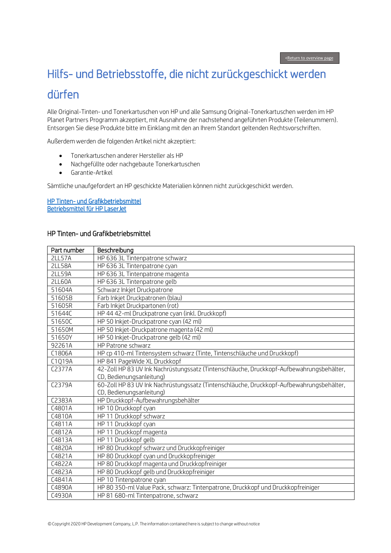## <span id="page-18-0"></span>Hilfs- und Betriebsstoffe, die nicht zurückgeschickt werden dürfen Ï

Alle Original-Tinten- und Tonerkartuschen von HP und alle Samsung Original-Tonerkartuschen werden im HP Planet Partners Programm akzeptiert, mit Ausnahme der nachstehend angeführten Produkte (Teilenummern). Entsorgen Sie diese Produkte bitte im Einklang mit den an Ihrem Standort geltenden Rechtsvorschriften.

Außerdem werden die folgenden Artikel nicht akzeptiert:

- Tonerkartuschen anderer Hersteller als HP
- Nachgefüllte oder nachgebaute Tonerkartuschen
- Garantie-Artikel

Sämtliche unaufgefordert an HP geschickte Materialien können nicht zurückgeschickt werden.

[HP Tinten- und Grafikbetriebsmittel](#page-18-1)  [Betriebsmittel für HP LaserJet](#page-21-0) 

#### <span id="page-18-1"></span>HP Tinten- und Grafikbetriebsmittel

| Part number   | Beschreibung                                                                             |
|---------------|------------------------------------------------------------------------------------------|
| <b>2LL57A</b> | HP 636 3L Tintenpatrone schwarz                                                          |
| <b>2LL58A</b> | HP 636 3L Tintenpatrone cyan                                                             |
| <b>2LL59A</b> | HP 636 3L Tintenpatrone magenta                                                          |
| <b>2LL60A</b> | HP 636 3L Tintenpatrone gelb                                                             |
| 51604A        | Schwarz Inkjet Druckpatrone                                                              |
| 51605B        | Farb Inkjet Druckpatronen (blau)                                                         |
| 51605R        | Farb Inkjet Druckpartonen (rot)                                                          |
| 51644C        | HP 44 42-ml Druckpatrone cyan (inkl. Druckkopf)                                          |
| 51650C        | HP 50 Inkjet-Druckpatrone cyan (42 ml)                                                   |
| 51650M        | HP 50 Inkjet-Druckpatrone magenta (42 ml)                                                |
| 51650Y        | HP 50 Inkjet-Druckpatrone gelb (42 ml)                                                   |
| 92261A        | HP Patrone schwarz                                                                       |
| C1806A        | HP cp 410-ml Tintensystem schwarz (Tinte, Tintenschläuche und Druckkopf)                 |
| C1Q19A        | HP 841 PageWide XL Druckkopf                                                             |
| C2377A        | 42-Zoll HP 83 UV Ink Nachrüstungssatz (Tintenschläuche, Druckkopf-Aufbewahrungsbehälter, |
|               | CD, Bedienungsanleitung)                                                                 |
| C2379A        | 60-Zoll HP 83 UV Ink Nachrüstungssatz (Tintenschläuche, Druckkopf-Aufbewahrungsbehälter, |
|               | CD, Bedienungsanleitung)                                                                 |
| C2383A        | HP Druckkopf-Aufbewahrungsbehälter                                                       |
| C4801A        | HP 10 Druckkopf cyan                                                                     |
| C4810A        | HP 11 Druckkopf schwarz                                                                  |
| C4811A        | HP 11 Druckkopf cyan                                                                     |
| C4812A        | HP 11 Druckkopf magenta                                                                  |
| C4813A        | HP 11 Druckkopf gelb                                                                     |
| C4820A        | HP 80 Druckkopf schwarz und Druckkopfreiniger                                            |
| C4821A        | HP 80 Druckkopf cyan und Druckkopfreiniger                                               |
| C4822A        | HP 80 Druckkopf magenta und Druckkopfreiniger                                            |
| C4823A        | HP 80 Druckkopf gelb und Druckkopfreiniger                                               |
| C4841A        | HP 10 Tintenpatrone cyan                                                                 |
| C4890A        | HP 80 350-ml Value Pack, schwarz: Tintenpatrone, Druckkopf und Druckkopfreiniger         |
| C4930A        | HP 81 680-ml Tintenpatrone, schwarz                                                      |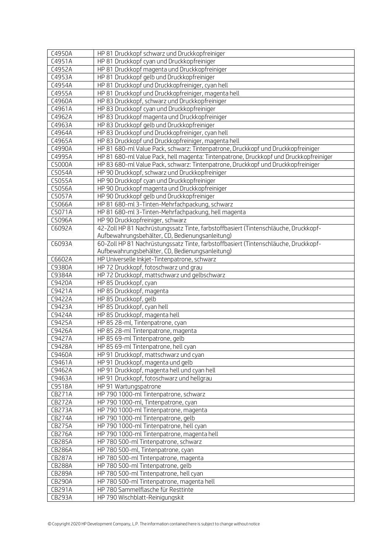| C4950A           | HP 81 Druckkopf schwarz und Druckkopfreiniger                                         |
|------------------|---------------------------------------------------------------------------------------|
| C4951A           | HP 81 Druckkopf cyan und Druckkopfreiniger                                            |
| C4952A           | HP 81 Druckkopf magenta und Druckkopfreiniger                                         |
| C4953A           | HP 81 Druckkopf gelb und Druckkopfreiniger                                            |
| C4954A           | HP 81 Druckkopf und Druckkopfreiniger, cyan hell                                      |
| C4955A           | HP 81 Druckkopf und Druckkopfreiniger, magenta hell                                   |
| C4960A           | HP 83 Druckkopf, schwarz und Druckkopfreiniger                                        |
| C4961A           | HP 83 Druckkopf cyan und Druckkopfreiniger                                            |
| C4962A           | HP 83 Druckkopf magenta und Druckkopfreiniger                                         |
| C4963A           | HP 83 Druckkopf gelb und Druckkopfreiniger                                            |
| C4964A           | HP 83 Druckkopf und Druckkopfreiniger, cyan hell                                      |
| C4965A           | HP 83 Druckkopf und Druckkopfreiniger, magenta hell                                   |
| C4990A           | HP 81 680-ml Value Pack, schwarz: Tintenpatrone, Druckkopf und Druckkopfreiniger      |
| C4995A           | HP 81 680-ml Value Pack, hell magenta: Tintenpatrone, Druckkopf und Druckkopfreiniger |
| C5000A           | HP 83 680-ml Value Pack, schwarz: Tintenpatrone, Druckkopf und Druckkopfreiniger      |
| C5054A           | HP 90 Druckkopf, schwarz und Druckkopfreiniger                                        |
| C5055A           | HP 90 Druckkopf cyan und Druckkopfreiniger                                            |
| C5056A           | HP 90 Druckkopf magenta und Druckkopfreiniger                                         |
| C5057A           | HP 90 Druckkopf gelb und Druckkopfreiniger                                            |
| C5066A           | HP 81 680-ml 3-Tinten-Mehrfachpackung, schwarz                                        |
| C5071A           | HP 81 680-ml 3-Tinten-Mehrfachpackung, hell magenta                                   |
| C5096A           | HP 90 Druckkopfreiniger, schwarz                                                      |
| C6092A           | 42-Zoll HP 81 Nachrüstungssatz Tinte, farbstoffbasiert (Tintenschläuche, Druckkopf-   |
|                  | Aufbewahrungsbehälter, CD, Bedienungsanleitung)                                       |
| C6093A           | 60-Zoll HP 81 Nachrüstungssatz Tinte, farbstoffbasiert (Tintenschläuche, Druckkopf-   |
|                  | Aufbewahrungsbehälter, CD, Bedienungsanleitung)                                       |
| C6602A           | HP Universelle Inkjet-Tintenpatrone, schwarz                                          |
| C9380A           | HP 72 Druckkopf, fotoschwarz und grau                                                 |
| C9384A           | HP 72 Druckkopf, mattschwarz und gelbschwarz                                          |
| C9420A           | HP 85 Druckkopf, cyan                                                                 |
| C9421A           | HP 85 Druckkopf, magenta                                                              |
| C9422A<br>C9423A | HP 85 Druckkopf, gelb<br>HP 85 Druckkopf, cyan hell                                   |
| C9424A           | HP 85 Druckkopf, magenta hell                                                         |
| C9425A           | HP 85 28-ml, Tintenpatrone, cyan                                                      |
| C9426A           | HP 85 28-ml Tintenpatrone, magenta                                                    |
| C9427A           | HP 85 69-ml Tintenpatrone, gelb                                                       |
| C9428A           | HP 85 69-ml Tintenpatrone, hell cyan                                                  |
| C9460A           | HP 91 Druckkopf, mattschwarz und cyan                                                 |
| C9461A           | HP 91 Druckkopf, magenta und gelb                                                     |
| C9462A           | HP 91 Druckkopf, magenta hell und cyan hell                                           |
| C9463A           | HP 91 Druckkopf, fotoschwarz und hellgrau                                             |
| C9518A           | HP 91 Wartungspatrone                                                                 |
| <b>CB271A</b>    | HP 790 1000-ml Tintenpatrone, schwarz                                                 |
| <b>CB272A</b>    | HP 790 1000-ml, Tintenpatrone, cyan                                                   |
| <b>CB273A</b>    | HP 790 1000-ml Tintenpatrone, magenta                                                 |
| <b>CB274A</b>    | HP 790 1000-ml Tintenpatrone, gelb                                                    |
| <b>CB275A</b>    | HP 790 1000-ml Tintenpatrone, hell cyan                                               |
| <b>CB276A</b>    | HP 790 1000-ml Tintenpatrone, magenta hell                                            |
| <b>CB285A</b>    | HP 780 500-ml Tintenpatrone, schwarz                                                  |
| <b>CB286A</b>    | HP 780 500-ml, Tintenpatrone, cyan                                                    |
| <b>CB287A</b>    | HP 780 500-ml Tintenpatrone, magenta                                                  |
| <b>CB288A</b>    | HP 780 500-ml Tintenpatrone, gelb                                                     |
| <b>CB289A</b>    | HP 780 500-ml Tintenpatrone, hell cyan                                                |
| <b>CB290A</b>    | HP 780 500-ml Tintenpatrone, magenta hell                                             |
| CB291A           | HP 780 Sammelflasche für Resttinte                                                    |
| CB293A           | HP 790 Wischblatt-Reinigungskit                                                       |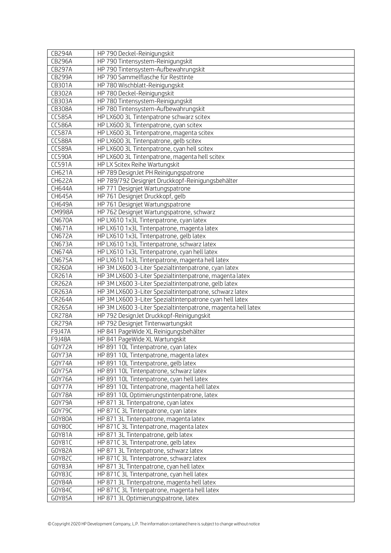| <b>CB294A</b>           | HP 790 Deckel-Reinigungskit                                                                                     |
|-------------------------|-----------------------------------------------------------------------------------------------------------------|
| <b>CB296A</b>           | HP 790 Tintensystem-Reinigungskit                                                                               |
| <b>CB297A</b>           | HP 790 Tintensystem-Aufbewahrungskit                                                                            |
| <b>CB299A</b>           | HP 790 Sammelflasche für Resttinte                                                                              |
| CB301A                  | HP 780 Wischblatt-Reinigungskit                                                                                 |
| CB302A                  | HP 780 Deckel-Reinigungskit                                                                                     |
| CB303A                  | HP 780 Tintensystem-Reinigungskit                                                                               |
| CB308A                  | HP 780 Tintensystem-Aufbewahrungskit                                                                            |
| <b>CC585A</b>           | HP LX600 3L Tintenpatrone schwarz scitex                                                                        |
| <b>CC586A</b>           | HP LX600 3L Tintenpatrone, cyan scitex                                                                          |
| <b>CC587A</b>           | HP LX600 3L Tintenpatrone, magenta scitex                                                                       |
| <b>CC588A</b>           | HP LX600 3L Tintenpatrone, gelb scitex                                                                          |
| <b>CC589A</b>           | HP LX600 3L Tintenpatrone, cyan hell scitex                                                                     |
| <b>CC590A</b>           | HP LX600 3L Tintenpatrone, magenta hell scitex                                                                  |
| CC591A                  | HP LX Scitex Reihe Wartungskit                                                                                  |
| CH621A                  | HP 789 DesignJet PH Reinigungspatrone                                                                           |
| <b>CH622A</b>           | HP 789/792 Designjet Druckkopf-Reinigungsbehälter                                                               |
| CH644A                  | HP 771 Designjet Wartungspatrone                                                                                |
| CH645A                  | HP 761 Designjet Druckkopf, gelb                                                                                |
| CH649A                  | HP 761 Designjet Wartungspatrone                                                                                |
| <b>CM998A</b>           | HP 762 Designjet Wartungspatrone, schwarz                                                                       |
| <b>CN670A</b>           | HP LX610 1x3L Tintenpatrone, cyan latex                                                                         |
| <b>CN671A</b>           | HP LX610 1x3L Tintenpatrone, magenta latex                                                                      |
| <b>CN672A</b>           | HP LX610 1x3L Tintenpatrone, gelb latex                                                                         |
| <b>CN673A</b>           | HP LX610 1x3L Tintenpatrone, schwarz latex                                                                      |
| <b>CN674A</b>           | HP LX610 1x3L Tintenpatrone, cyan hell latex                                                                    |
| <b>CN675A</b>           | HP LX610 1x3L Tintenpatrone, magenta hell latex                                                                 |
| <b>CR260A</b>           | HP 3M LX600 3-Liter Spezialtintenpatrone, cyan latex                                                            |
| CR261A                  | HP 3M LX600 3-Liter Spezialtintenpatrone, magenta latex<br>HP 3M LX600 3-Liter Spezialtintenpatrone, gelb latex |
| <b>CR262A</b><br>CR263A | HP 3M LX600 3-Liter Spezialtintenpatrone, schwarz latex                                                         |
| <b>CR264A</b>           | HP 3M LX600 3-Liter Spezialtintenpatrone cyan hell latex                                                        |
| <b>CR265A</b>           | HP 3M LX600 3-Liter Spezialtintenpatrone, magenta hell latex                                                    |
| <b>CR278A</b>           | HP 792 DesignJet Druckkopf-Reinigungskit                                                                        |
| <b>CR279A</b>           | HP 792 Designjet Tintenwartungskit                                                                              |
| F9J47A                  | HP 841 PageWide XL Reinigungsbehälter                                                                           |
| F9J48A                  | HP 841 PageWide XL Wartungskit                                                                                  |
| GOY72A                  | HP 891 10L Tintenpatrone, cyan latex                                                                            |
| GOY73A                  | HP 891 10L Tintenpatrone, magenta latex                                                                         |
| GOY74A                  | HP 891 10L Tintenpatrone, gelb latex                                                                            |
| GOY75A                  | HP 891 10L Tintenpatrone, schwarz latex                                                                         |
| GOY76A                  | HP 891 10L Tintenpatrone, cyan hell latex                                                                       |
| GOY77A                  | HP 891 10L Tintenpatrone, magenta hell latex                                                                    |
| GOY78A                  | HP 891 10L Optimierungstintenpatrone, latex                                                                     |
| GOY79A                  | HP 871 3L Tintenpatrone, cyan latex                                                                             |
| GOY79C                  | HP 871C 3L Tintenpatrone, cyan latex                                                                            |
| G0Y80A                  | HP 871 3L Tintenpatrone, magenta latex                                                                          |
| GOY80C                  | HP 871C 3L Tintenpatrone, magenta latex                                                                         |
| G0Y81A                  | HP 871 3L Tintenpatrone, gelb latex                                                                             |
| G0Y81C                  | HP 871C 3L Tintenpatrone, gelb latex                                                                            |
| GOY82A                  | HP 871 3L Tintenpatrone, schwarz latex                                                                          |
| GOY82C                  | HP 871C 3L Tintenpatrone, schwarz latex                                                                         |
| GOY83A                  | HP 871 3L Tintenpatrone, cyan hell latex                                                                        |
| GOY83C                  | HP 871C 3L Tintenpatrone, cyan hell latex                                                                       |
| GOY84A                  | HP 871 3L Tintenpatrone, magenta hell latex                                                                     |
| GOY84C                  | HP 871C 3L Tintenpatrone, magenta hell latex                                                                    |
| G0Y85A                  | HP 871 3L Optimierungspatrone, latex                                                                            |